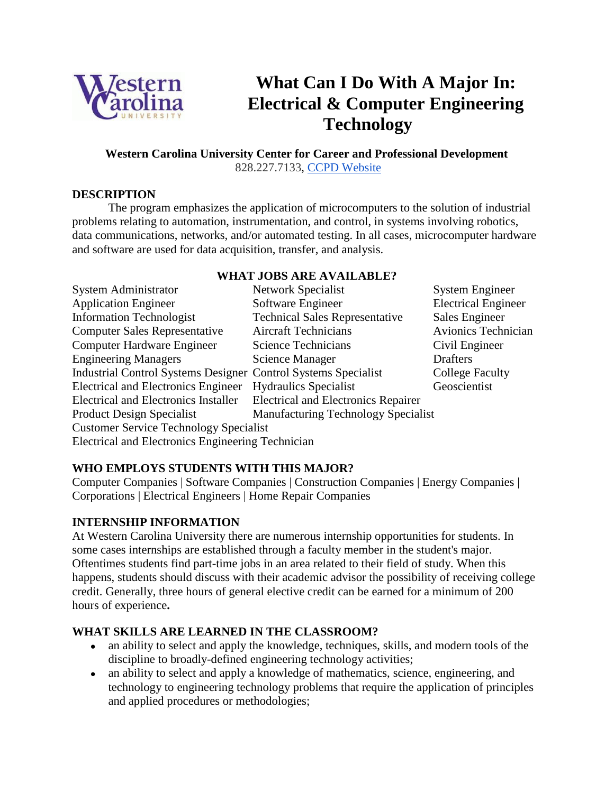

# **What Can I Do With A Major In: Electrical & Computer Engineering Technology**

#### **Western Carolina University Center for Career and Professional Development** 828.227.7133, [CCPD Website](http://www.wcu.edu/learn/academic-enrichment/career-services-and-cooperative-education/)

#### **DESCRIPTION**

The program emphasizes the application of microcomputers to the solution of industrial problems relating to automation, instrumentation, and control, in systems involving robotics, data communications, networks, and/or automated testing. In all cases, microcomputer hardware and software are used for data acquisition, transfer, and analysis.

#### **WHAT JOBS ARE AVAILABLE?**

| <b>System Administrator</b>                                           | <b>Network Specialist</b>                  | <b>System Engineer</b>     |
|-----------------------------------------------------------------------|--------------------------------------------|----------------------------|
| <b>Application Engineer</b>                                           | Software Engineer                          | <b>Electrical Engineer</b> |
| <b>Information Technologist</b>                                       | <b>Technical Sales Representative</b>      | Sales Engineer             |
| <b>Computer Sales Representative</b>                                  | <b>Aircraft Technicians</b>                | Avionics Technician        |
| Computer Hardware Engineer                                            | Science Technicians                        | Civil Engineer             |
| <b>Engineering Managers</b>                                           | Science Manager                            | <b>Drafters</b>            |
| <b>Industrial Control Systems Designer Control Systems Specialist</b> |                                            | <b>College Faculty</b>     |
| <b>Electrical and Electronics Engineer</b>                            | <b>Hydraulics Specialist</b>               | Geoscientist               |
| <b>Electrical and Electronics Installer</b>                           | <b>Electrical and Electronics Repairer</b> |                            |
| <b>Product Design Specialist</b>                                      | <b>Manufacturing Technology Specialist</b> |                            |
| <b>Customer Service Technology Specialist</b>                         |                                            |                            |
| <b>Electrical and Electronics Engineering Technician</b>              |                                            |                            |

## **WHO EMPLOYS STUDENTS WITH THIS MAJOR?**

Computer Companies | Software Companies | Construction Companies | Energy Companies | Corporations | Electrical Engineers | Home Repair Companies

#### **INTERNSHIP INFORMATION**

At Western Carolina University there are numerous internship opportunities for students. In some cases internships are established through a faculty member in the student's major. Oftentimes students find part-time jobs in an area related to their field of study. When this happens, students should discuss with their academic advisor the possibility of receiving college credit. Generally, three hours of general elective credit can be earned for a minimum of 200 hours of experience**.**

## **WHAT SKILLS ARE LEARNED IN THE CLASSROOM?**

- an ability to select and apply the knowledge, techniques, skills, and modern tools of the discipline to broadly-defined engineering technology activities;
- an ability to select and apply a knowledge of mathematics, science, engineering, and technology to engineering technology problems that require the application of principles and applied procedures or methodologies;